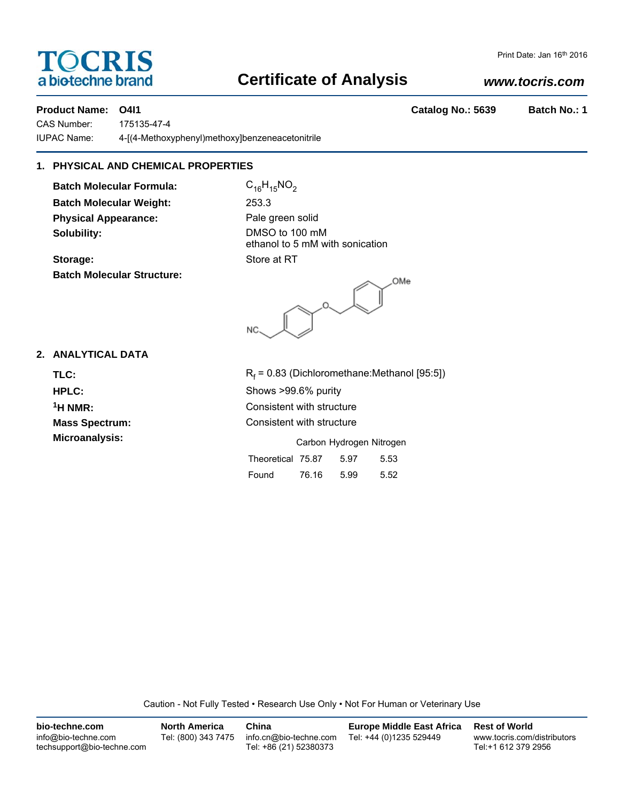# **TOCRIS** a biotechne brand

#### Print Date: Jan 16th 2016

# **Certificate of Analysis**

# *www.tocris.com*

**Product Name: O4I1 Catalog No.: 5639 Batch No.: 1**

CAS Number: 175135-47-4 IUPAC Name: 4-[(4-Methoxyphenyl)methoxy]benzeneacetonitrile

# **1. PHYSICAL AND CHEMICAL PROPERTIES**

**Batch Molecular Formula:** C<sub>16</sub>H<sub>15</sub>NO<sub>2</sub> **Batch Molecular Weight:** 253.3 **Physical Appearance:** Pale green solid **Solubility:** DMSO to 100 mM

**Batch Molecular Structure:**

ethanol to 5 mM with sonication **Storage:** Store at RT

OMe **NC** 

## **2. ANALYTICAL DATA**

TLC: R<sub>f</sub>

 $R_f$  = 0.83 (Dichloromethane:Methanol [95:5]) **HPLC:** Shows >99.6% purity <sup>1</sup>H NMR: Consistent with structure **Mass Spectrum:** Consistent with structure **Microanalysis:** Microanalysis: **Carbon Hydrogen Nitrogen** 

| Theoretical 75.87 |       | 5.97 | 5.53 |
|-------------------|-------|------|------|
| Found             | 76.16 | 5.99 | 5.52 |

Caution - Not Fully Tested • Research Use Only • Not For Human or Veterinary Use

| bio-techne.com                                    | <b>North America</b> | China                                            | <b>Europe Middle East Africa</b> | <b>Rest of World</b>                               |
|---------------------------------------------------|----------------------|--------------------------------------------------|----------------------------------|----------------------------------------------------|
| info@bio-techne.com<br>techsupport@bio-techne.com | Tel: (800) 343 7475  | info.cn@bio-techne.com<br>Tel: +86 (21) 52380373 | Tel: +44 (0)1235 529449          | www.tocris.com/distributors<br>Tel:+1 612 379 2956 |